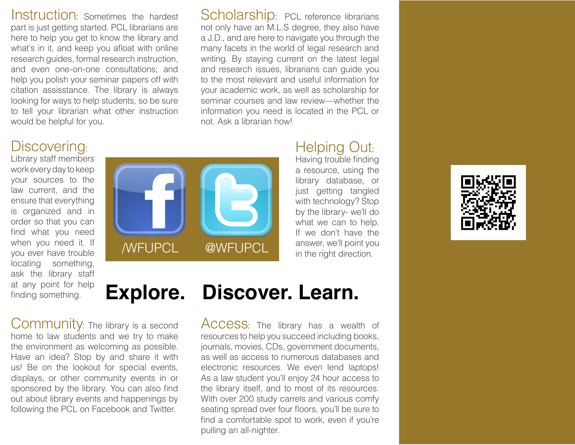Instruction: Sometimes the hardest part is just getting started. PCL librarians are here to help you get to know the library and what's in it, and keep you afloat with online research guides, formal research instruction, and even one-on-one consultations; and help you polish your seminar papers off with citation assisstance. The library is always looking for ways to help students, so be sure to tell your librarian what other instruction would be helpful for you.

Scholarship: PCL reference librarians not only have an M.L.S degree, they also have a J.D., and are here to navigate you through the many facets in the world of legal research and writing. By staying current on the latest legal and research issues, librarians can guide you to the most relevant and useful information for your academic work, as well as scholarship for seminar courses and law review—whether the information you need is located in the PCL or not. Ask a librarian how!

## Discovering:

Library staff members work every day to keep your sources to the law current, and the ensure that everything is organized and in order so that you can find what you need when you need it. If you ever have trouble locating something, ask the library staff at any point for help finding something.



## Helping Out:

Having trouble finding a resource, using the library database, or just getting tangled with technology? Stop by the library- we'll do what we can to help. If we don't have the answer, we'll point you in the right direction.

## **Explore. Discover. Learn.**

Community: The library is a second home to law students and we try to make the environment as welcoming as possible. Have an idea? Stop by and share it with us! Be on the lookout for special events, displays, or other community events in or sponsored by the library. You can also find out about library events and happenings by following the PCL on Facebook and Twitter.

ACCESS: The library has a wealth of resources to help you succeed including books, journals, movies, CDs, government documents, as well as access to numerous databases and electronic resources. We even lend laptops! As a law student you'll enjoy 24 hour access to the library itself, and to most of its resources. With over 200 study carrels and various comfy seating spread over four floors, you'll be sure to find a comfortable spot to work, even if you're pulling an all-nighter.